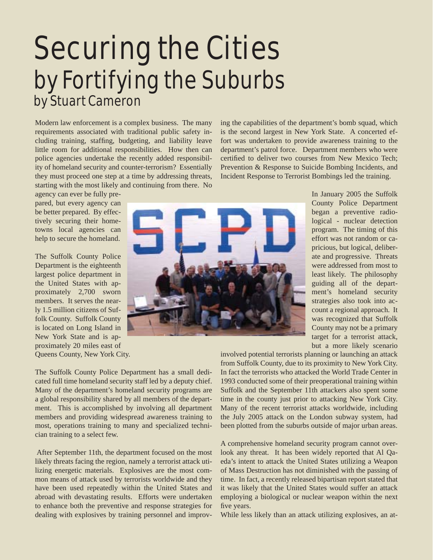## Securing the Cities by Fortifying the Suburbs by Stuart Cameron

Modern law enforcement is a complex business. The many requirements associated with traditional public safety including training, staffing, budgeting, and liability leave little room for additional responsibilities. How then can police agencies undertake the recently added responsibility of homeland security and counter-terrorism? Essentially they must proceed one step at a time by addressing threats, starting with the most likely and continuing from there. No ing the capabilities of the department's bomb squad, which is the second largest in New York State. A concerted effort was undertaken to provide awareness training to the department's patrol force. Department members who were certified to deliver two courses from New Mexico Tech; Prevention & Response to Suicide Bombing Incidents, and Incident Response to Terrorist Bombings led the training.

agency can ever be fully prepared, but every agency can be better prepared. By effectively securing their hometowns local agencies can help to secure the homeland.

The Suffolk County Police Department is the eighteenth largest police department in the United States with approximately 2,700 sworn members. It serves the nearly 1.5 million citizens of Suffolk County. Suffolk County is located on Long Island in New York State and is approximately 20 miles east of Queens County, New York City.



In January 2005 the Suffolk County Police Department began a preventive radiological - nuclear detection program. The timing of this effort was not random or capricious, but logical, deliberate and progressive. Threats were addressed from most to least likely. The philosophy guiding all of the department's homeland security strategies also took into account a regional approach. It was recognized that Suffolk County may not be a primary target for a terrorist attack, but a more likely scenario

The Suffolk County Police Department has a small dedicated full time homeland security staff led by a deputy chief. Many of the department's homeland security programs are a global responsibility shared by all members of the department. This is accomplished by involving all department members and providing widespread awareness training to most, operations training to many and specialized technician training to a select few.

 After September 11th, the department focused on the most likely threats facing the region, namely a terrorist attack utilizing energetic materials. Explosives are the most common means of attack used by terrorists worldwide and they have been used repeatedly within the United States and abroad with devastating results. Efforts were undertaken to enhance both the preventive and response strategies for dealing with explosives by training personnel and improvinvolved potential terrorists planning or launching an attack from Suffolk County, due to its proximity to New York City. In fact the terrorists who attacked the World Trade Center in 1993 conducted some of their preoperational training within Suffolk and the September 11th attackers also spent some time in the county just prior to attacking New York City. Many of the recent terrorist attacks worldwide, including the July 2005 attack on the London subway system, had been plotted from the suburbs outside of major urban areas.

A comprehensive homeland security program cannot overlook any threat. It has been widely reported that Al Qaeda's intent to attack the United States utilizing a Weapon of Mass Destruction has not diminished with the passing of time. In fact, a recently released bipartisan report stated that it was likely that the United States would suffer an attack employing a biological or nuclear weapon within the next five years.

While less likely than an attack utilizing explosives, an at-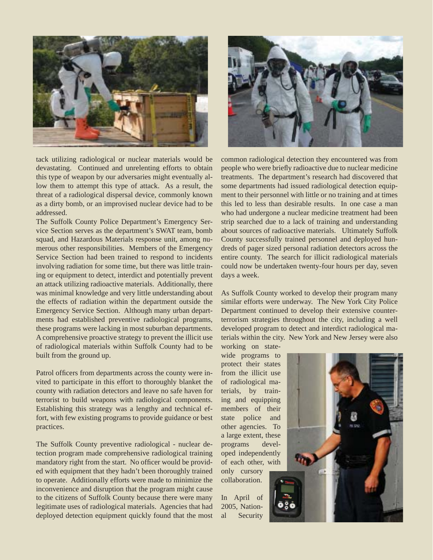

tack utilizing radiological or nuclear materials would be devastating. Continued and unrelenting efforts to obtain this type of weapon by our adversaries might eventually allow them to attempt this type of attack. As a result, the threat of a radiological dispersal device, commonly known as a dirty bomb, or an improvised nuclear device had to be addressed.

The Suffolk County Police Department's Emergency Service Section serves as the department's SWAT team, bomb squad, and Hazardous Materials response unit, among numerous other responsibilities. Members of the Emergency Service Section had been trained to respond to incidents involving radiation for some time, but there was little training or equipment to detect, interdict and potentially prevent an attack utilizing radioactive materials. Additionally, there was minimal knowledge and very little understanding about the effects of radiation within the department outside the Emergency Service Section. Although many urban departments had established preventive radiological programs, these programs were lacking in most suburban departments. A comprehensive proactive strategy to prevent the illicit use of radiological materials within Suffolk County had to be built from the ground up.

Patrol officers from departments across the county were invited to participate in this effort to thoroughly blanket the county with radiation detectors and leave no safe haven for terrorist to build weapons with radiological components. Establishing this strategy was a lengthy and technical effort, with few existing programs to provide guidance or best practices.

The Suffolk County preventive radiological - nuclear detection program made comprehensive radiological training mandatory right from the start. No officer would be provided with equipment that they hadn't been thoroughly trained to operate. Additionally efforts were made to minimize the inconvenience and disruption that the program might cause to the citizens of Suffolk County because there were many legitimate uses of radiological materials. Agencies that had deployed detection equipment quickly found that the most



common radiological detection they encountered was from people who were briefly radioactive due to nuclear medicine treatments. The department's research had discovered that some departments had issued radiological detection equipment to their personnel with little or no training and at times this led to less than desirable results. In one case a man who had undergone a nuclear medicine treatment had been strip searched due to a lack of training and understanding about sources of radioactive materials. Ultimately Suffolk County successfully trained personnel and deployed hundreds of pager sized personal radiation detectors across the entire county. The search for illicit radiological materials could now be undertaken twenty-four hours per day, seven days a week.

As Suffolk County worked to develop their program many similar efforts were underway. The New York City Police Department continued to develop their extensive counterterrorism strategies throughout the city, including a well developed program to detect and interdict radiological materials within the city. New York and New Jersey were also working on state-

wide programs to protect their states from the illicit use of radiological materials, by training and equipping members of their state police and other agencies. To a large extent, these programs developed independently of each other, with only cursory

collaboration.

In April of 2005, National Security

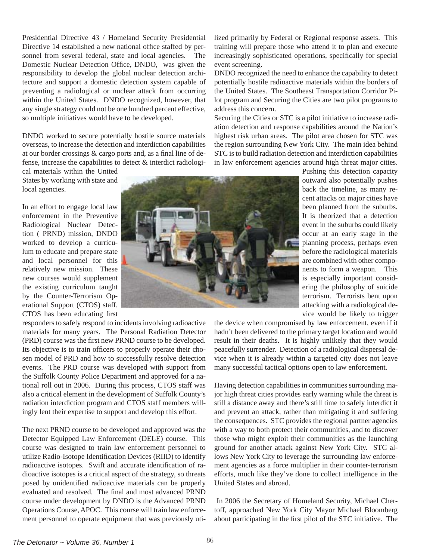Presidential Directive 43 / Homeland Security Presidential Directive 14 established a new national office staffed by personnel from several federal, state and local agencies. The Domestic Nuclear Detection Office, DNDO, was given the responsibility to develop the global nuclear detection architecture and support a domestic detection system capable of preventing a radiological or nuclear attack from occurring within the United States. DNDO recognized, however, that any single strategy could not be one hundred percent effective, so multiple initiatives would have to be developed.

DNDO worked to secure potentially hostile source materials overseas, to increase the detection and interdiction capabilities at our border crossings  $&$  cargo ports and, as a final line of defense, increase the capabilities to detect & interdict radiologi-

cal materials within the United States by working with state and local agencies.

In an effort to engage local law enforcement in the Preventive Radiological Nuclear Detection ( PRND) mission, DNDO worked to develop a curriculum to educate and prepare state and local personnel for this relatively new mission. These new courses would supplement the existing curriculum taught by the Counter-Terrorism Operational Support (CTOS) staff. CTOS has been educating first

responders to safely respond to incidents involving radioactive materials for many years. The Personal Radiation Detector (PRD) course was the first new PRND course to be developed. Its objective is to train officers to properly operate their chosen model of PRD and how to successfully resolve detection events. The PRD course was developed with support from the Suffolk County Police Department and approved for a national roll out in 2006. During this process, CTOS staff was also a critical element in the development of Suffolk County's radiation interdiction program and CTOS staff members willingly lent their expertise to support and develop this effort.

The next PRND course to be developed and approved was the Detector Equipped Law Enforcement (DELE) course. This course was designed to train law enforcement personnel to utilize Radio-Isotope Identification Devices (RIID) to identify radioactive isotopes. Swift and accurate identification of radioactive isotopes is a critical aspect of the strategy, so threats posed by unidentified radioactive materials can be properly evaluated and resolved. The final and most advanced PRND course under development by DNDO is the Advanced PRND Operations Course, APOC. This course will train law enforcement personnel to operate equipment that was previously uti-

lized primarily by Federal or Regional response assets. This training will prepare those who attend it to plan and execute increasingly sophisticated operations, specifically for special event screening.

DNDO recognized the need to enhance the capability to detect potentially hostile radioactive materials within the borders of the United States. The Southeast Transportation Corridor Pilot program and Securing the Cities are two pilot programs to address this concern.

Securing the Cities or STC is a pilot initiative to increase radiation detection and response capabilities around the Nation's highest risk urban areas. The pilot area chosen for STC was the region surrounding New York City. The main idea behind STC is to build radiation detection and interdiction capabilities in law enforcement agencies around high threat major cities.

> Pushing this detection capacity outward also potentially pushes back the timeline, as many recent attacks on major cities have been planned from the suburbs. It is theorized that a detection event in the suburbs could likely occur at an early stage in the planning process, perhaps even before the radiological materials are combined with other components to form a weapon. This is especially important considering the philosophy of suicide terrorism. Terrorists bent upon attacking with a radiological device would be likely to trigger

the device when compromised by law enforcement, even if it hadn't been delivered to the primary target location and would result in their deaths. It is highly unlikely that they would peacefully surrender. Detection of a radiological dispersal device when it is already within a targeted city does not leave many successful tactical options open to law enforcement.

Having detection capabilities in communities surrounding major high threat cities provides early warning while the threat is still a distance away and there's still time to safely interdict it and prevent an attack, rather than mitigating it and suffering the consequences. STC provides the regional partner agencies with a way to both protect their communities, and to discover those who might exploit their communities as the launching ground for another attack against New York City. STC allows New York City to leverage the surrounding law enforcement agencies as a force multiplier in their counter-terrorism efforts, much like they've done to collect intelligence in the United States and abroad.

 In 2006 the Secretary of Homeland Security, Michael Chertoff, approached New York City Mayor Michael Bloomberg about participating in the first pilot of the STC initiative. The

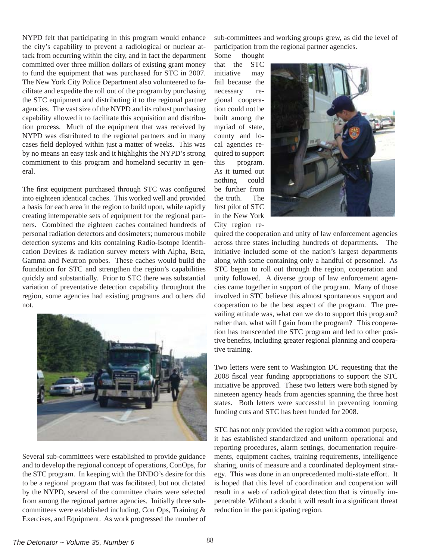NYPD felt that participating in this program would enhance the city's capability to prevent a radiological or nuclear attack from occurring within the city, and in fact the department committed over three million dollars of existing grant money to fund the equipment that was purchased for STC in 2007. The New York City Police Department also volunteered to facilitate and expedite the roll out of the program by purchasing the STC equipment and distributing it to the regional partner agencies. The vast size of the NYPD and its robust purchasing capability allowed it to facilitate this acquisition and distribution process. Much of the equipment that was received by NYPD was distributed to the regional partners and in many cases field deployed within just a matter of weeks. This was by no means an easy task and it highlights the NYPD's strong commitment to this program and homeland security in general.

The first equipment purchased through STC was configured into eighteen identical caches. This worked well and provided a basis for each area in the region to build upon, while rapidly creating interoperable sets of equipment for the regional partners. Combined the eighteen caches contained hundreds of personal radiation detectors and dosimeters; numerous mobile detection systems and kits containing Radio-Isotope Identification Devices & radiation survey meters with Alpha, Beta, Gamma and Neutron probes. These caches would build the foundation for STC and strengthen the region's capabilities quickly and substantially. Prior to STC there was substantial variation of preventative detection capability throughout the region, some agencies had existing programs and others did not.



Several sub-committees were established to provide guidance and to develop the regional concept of operations, ConOps, for the STC program. In keeping with the DNDO's desire for this to be a regional program that was facilitated, but not dictated by the NYPD, several of the committee chairs were selected from among the regional partner agencies. Initially three subcommittees were established including, Con Ops, Training & Exercises, and Equipment. As work progressed the number of sub-committees and working groups grew, as did the level of participation from the regional partner agencies.

Some thought that the STC initiative may fail because the necessary regional cooperation could not be built among the myriad of state, county and local agencies required to support this program. As it turned out nothing could be further from the truth. The first pilot of STC in the New York City region re-



quired the cooperation and unity of law enforcement agencies across three states including hundreds of departments. The initiative included some of the nation's largest departments along with some containing only a handful of personnel. As STC began to roll out through the region, cooperation and unity followed. A diverse group of law enforcement agencies came together in support of the program. Many of those involved in STC believe this almost spontaneous support and cooperation to be the best aspect of the program. The prevailing attitude was, what can we do to support this program? rather than, what will I gain from the program? This cooperation has transcended the STC program and led to other positive benefits, including greater regional planning and cooperative training.

Two letters were sent to Washington DC requesting that the 2008 fiscal year funding appropriations to support the STC initiative be approved. These two letters were both signed by nineteen agency heads from agencies spanning the three host states. Both letters were successful in preventing looming funding cuts and STC has been funded for 2008.

STC has not only provided the region with a common purpose, it has established standardized and uniform operational and reporting procedures, alarm settings, documentation requirements, equipment caches, training requirements, intelligence sharing, units of measure and a coordinated deployment strategy. This was done in an unprecedented multi-state effort. It is hoped that this level of coordination and cooperation will result in a web of radiological detection that is virtually impenetrable. Without a doubt it will result in a significant threat reduction in the participating region.